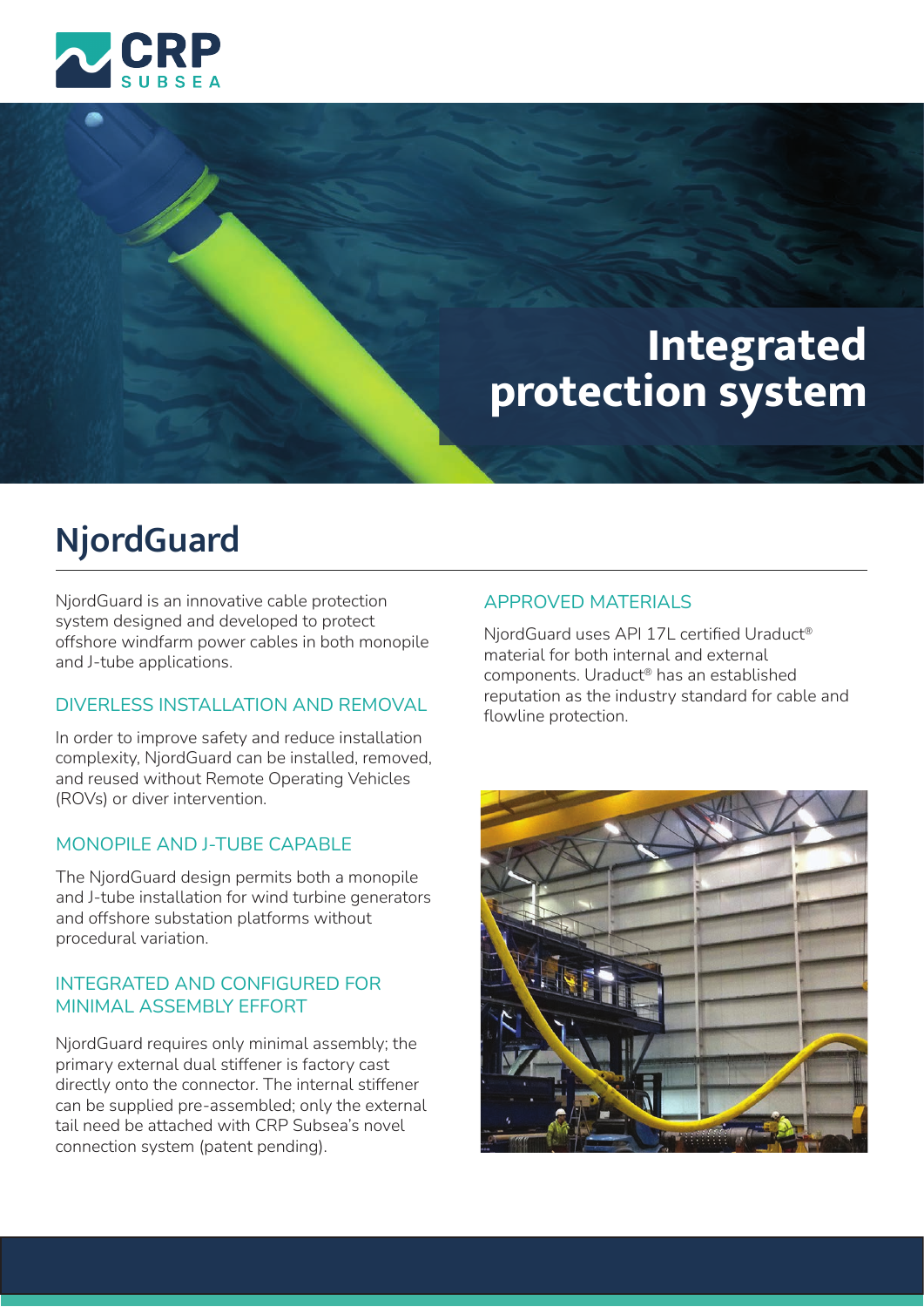

# **Integrated protection system**

## **NjordGuard**

NjordGuard is an innovative cable protection system designed and developed to protect offshore windfarm power cables in both monopile and J-tube applications.

#### DIVERLESS INSTALLATION AND REMOVAL

In order to improve safety and reduce installation complexity, NjordGuard can be installed, removed, and reused without Remote Operating Vehicles (ROVs) or diver intervention.

### MONOPILE AND J-TUBE CAPABLE

The NjordGuard design permits both a monopile and J-tube installation for wind turbine generators and offshore substation platforms without procedural variation.

#### INTEGRATED AND CONFIGURED FOR MINIMAL ASSEMBLY EFFORT

NjordGuard requires only minimal assembly; the primary external dual stiffener is factory cast directly onto the connector. The internal stiffener can be supplied pre-assembled; only the external tail need be attached with CRP Subsea's novel connection system (patent pending).

#### APPROVED MATERIALS

NjordGuard uses API 17L certified Uraduct® material for both internal and external components. Uraduct® has an established reputation as the industry standard for cable and flowline protection.